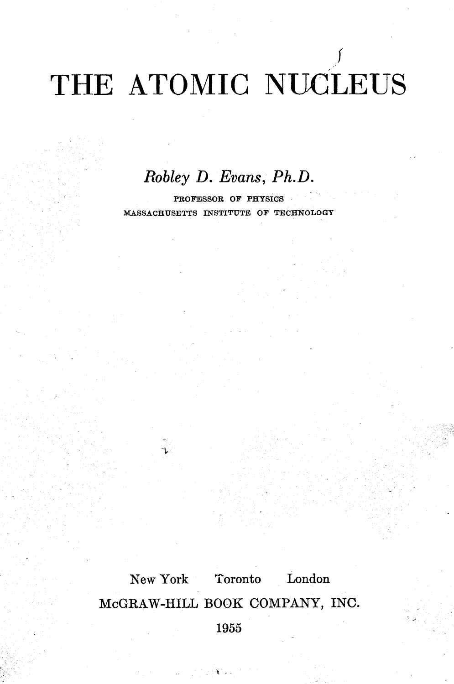# r THE ATOMIC NUCLEUS

## Robley D. Evans, Ph.D.

PROFESSOR OF PHYSICS MASSACHUSETTS INSTITUTE OF TECHNOLOGY

## New York Toronto London McGRAW-HILL BOOK COMPANY, INC. 1955

~ .

"'

\.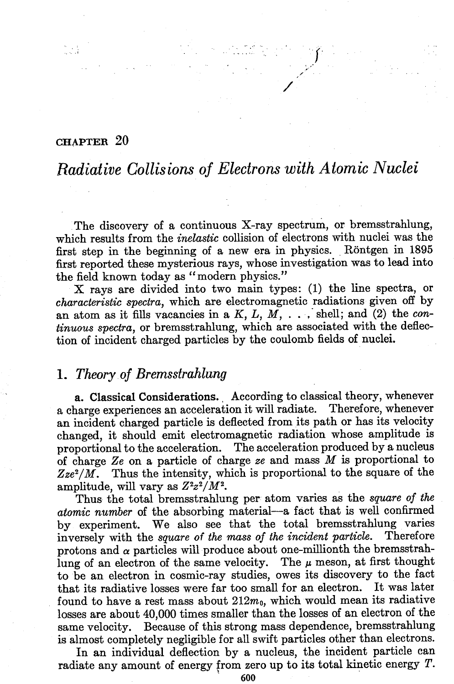#### CHAPTER 20

## Radiative Collisions of Electrons with Atomic Nuclei

, " .- ,/ /

The discovery of a continuous X-ray spectrum, or bremsstrahlung, which results from the *inelastic* collision of electrons with nuclei was the first step in the beginning of a new era in physics. Röntgen in 1895 first reported these mysterious rays, whose investigation was to lead into the field known today as "modern physics."

X rays are divided into two main types: (1) the line spectra, or characteristic spectra, which are electromagnetic radiations given off by an atom as it fills vacancies in a  $K, L, M, \ldots$ , shell; and (2) the continuous spectra, or bremsstrahlung, which are associated with the deflection of incident charged particles by the coulomb fields of nuclei.

### 1. Theory of Bremsstrahlung

 $\mathbf{r} = \mathbf{r} \cdot \mathbf{r}$  , where  $\mathbf{r} = \mathbf{r} \cdot \mathbf{r}$  , where  $\mathbf{r} = \mathbf{r} \cdot \mathbf{r}$ 

a. Classical Considerations. According to classical theory, whenever a charge experiences an acceleration it will radiate. Therefore, whenever an incident charged particle is deflected from its path or has its velocity changed, it should emit electromagnetic radiation whose amplitude is proportional to the acceleration. The acceleration produced by a nucleus of charge  $Ze$  on a particle of charge  $ze$  and mass  $M$  is proportional to  $Zze^2/M$ . Thus the intensity, which is proportional to the square of the amplitude, will vary as  $Z^2z^2/M^2$ .

Thus the total bremsstrahlung per atom varies as the square of the atomic number of the absorbing material-a fact that is well confirmed by experiment. We also see that the total bremsstrahlung varies inversely with the square of the mass of the incident particle. Therefore protons and  $\alpha$  particles will produce about one-millionth the bremsstrahlung of an electron of the same velocity. The  $\mu$  meson, at first thought to be an electron in cosmic-ray studies, owes its discovery to the fact that its radiative losses were far too small for an electron. It was later found to have a rest mass about  $212m_0$ , which would mean its radiative losses are about 40,000 times smaller than the losses of an electron of the same velocity. Because of this strong mass dependence, bremsstrahlung is almost completely negligible for all swift particles other than electrons.

In an individual deflection by a nucleus, the incident particle can radiate any amount of energy from zero up to its total kinetic energy  $T$ .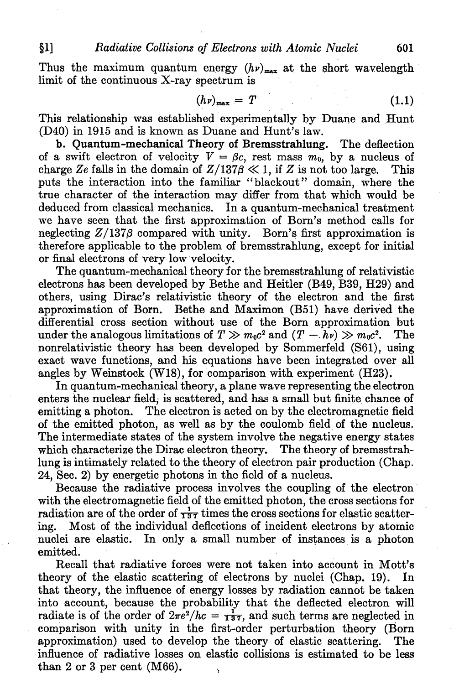Thus the maximum quantum energy  $(h\nu)_{\text{max}}$  at the short wavelength limit of the continuous X-ray spectrum is

$$
(h\nu)_{\max} = T \tag{1.1}
$$

This relationship was established experimentally by Duane and Hunt (D40) in 1915 and is known as Duane and Hunt's law.

b. Quantum-mechanical Theory of Bremsstrahlung. The deflection of a swift electron of velocity  $V = \beta c$ , rest mass  $m_0$ , by a nucleus of charge Ze falls in the domain of  $Z/137\beta \ll 1$ , if Z is not too large. This puts the interaction into the familiar "blackout" domain, where the true character of the interaction may differ from that which would be deduced from classical mechanics. In a quantum-mechanical treatment we have seen that the first approximation of Born's method calls for neglecting  $Z/137\beta$  compared with unity. Born's first approximation is therefore applicable to the problem of bremsstrahlung, except for initial or final electrons of very low velocity.

The quantum-mechanical theory for the bremsstrahlung of relativistic electrons has been developed by Bethe and Heitler (B49, B39, H29) and others, using Dirac's relativistic theory of the electron and the first approximation of Born. Bethe and Maximon (B51) have derived the differential cross section without use of the Born approximation but under the analogous limitations of  $T \gg m_0c^2$  and  $(T - h\nu) \gg m_0c^2$ . The nonrelativistic theory has been developed by Sommerfeld (S61), using exact wave functions, and his equations have been integrated over all angles by Weinstock (WI8), for comparison with experiment (H23).

In quantum-mechanical theory, a plane wave representing the electron enters the nuclear field; is scattered, and has a small but finite chance of emitting a photon. The electron is acted on by the electromagnetic field of the emitted photon, as well as by the coulomb field of the nucleus. The intermediate states of the system involve the negative energy states which characterize the Dirac electron theory. The theory of bremsstrahlung is intimately related to the theory of electron pair production (Chap. 24, Sec. 2) by energetic photons in tho fiold of a nucleus.

Because the radiative process involves the coupling of the electron with the electromagnetic field of the emitted photon, the cross sections for radiation are of the order of  $\frac{1}{137}$  times the cross sections for elastic scattering. Most of the individual defloctions of incident electrons by atomic nuclei are elastic. In only a small number of instances is a photon emitted.

Recall that radiative forces were not taken into account in Mott's theory of the elastic scattering of electrons by nuclei (Chap. 19). that theory, the influence of energy losses by radiation cannot be taken into account, because the probability that the deflected electron will radiate is of the order of  $2\pi e^2/hc = \frac{1}{137}$ , and such terms are neglected in comparison with unity in the first-order perturbation theory (Born approximation) used to develop the theory of elastic scattering. The influence of radiative losses on elastic collisions is estimated to be less than 2 or 3 per cent  $(M66)$ .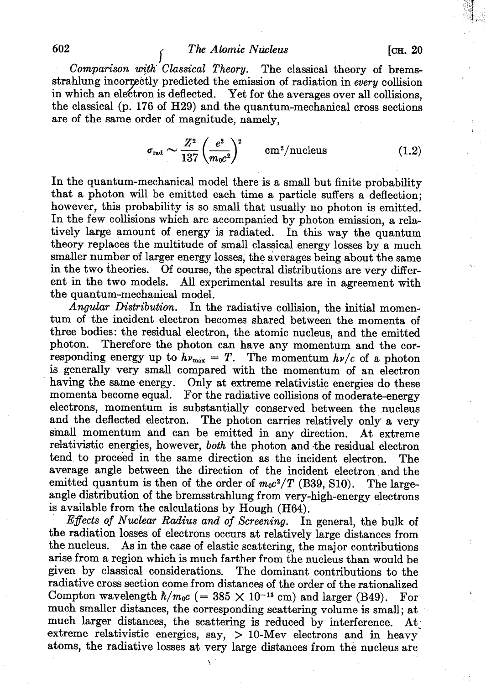#### $602$   $\qquad \qquad$  The Atomic Nucleus  $\qquad \qquad$  [CH, 20

 $Comparison$  with. Classical Theory. The classical theory of bremsstrahlung incorrectly predicted the emission of radiation in every collision in which an electron is deflected. Yet for the averages over all collisions, the classical (p. 176 of H29) and the quantum-mechanical cross sections are of the same order of magnitude, namely,

$$
\sigma_{\rm rad} \sim \frac{Z^2}{137} \left(\frac{e^2}{m_0 c^2}\right)^2 \qquad \rm cm^2/nucleus \tag{1.2}
$$

In the quantum-mechanical model there is a small but finite probability that a photon will be emitted each time a particle suffers a deflection; however, this probability is so small that usually no photon is emitted. In the few collisions which are accompanied by photon emission, a relatively large amount of energy is radiated. In this way the quantum theory replaces the multitude of small classical energy losses by a much smaller number of larger energy losses, the averages being about the same in the two theories. Of course, the spectral distributions are very different in the two models. All experimental results are in agreement with the quantum-mechanical model.

Angular Distribution. In the radiative collision, the initial momentum of the incident electron becomes shared between the momenta of three bodies: the residual electron, the atomic nucleus, and the emitted photon. Therefore the photon can have any momentum and the corresponding energy up to  $h\nu_{\text{max}} = T$ . The momentum  $h\nu/c$  of a photon is generally very small compared with the momentum of an electron having the same energy. Only at extreme relativistic energies do these momenta become equal. For the radiative collisions of moderate-energy electrons, momentum is substantially conserved between the nucleus and the deflected electron. The photon carries relatively only. a very small momentum and can be emitted in any direction. At extreme relativistic energies, however, both the photon and the residual electron tend to proceed in the same direction as the incident electron. The average angle between the direction of the incident electron and the emitted quantum is then of the order of  $m_0c^2/T$  (B39, S10). The largeangle distribution of the bremsstrahlung from very-high-energy electrons is available from the calculations by Hough (H64).

Effects of Nuclear Radius and of Screening. In general, the bulk of the radiation losses of electrons occurs at relatively large distances from the nucleus. As in the case of elastic scattering, the major contributions arise from a region which is much farther from the nucleus than would be given by classical considerations. The dominant contributions to the radiative cross section come from distances of the order of the rationalized Compton wavelength  $\hbar/m_0c$  (= 385  $\times$  10<sup>-13</sup> cm) and larger (B49). For much smaller distances, the corresponding scattering volume is small; at much larger distances, the scattering is reduced by interference. At extreme relativistic energies, say,  $> 10$ -Mev electrons and in heavy atoms, the radiative losses at very large distances from the nucleus are

'!